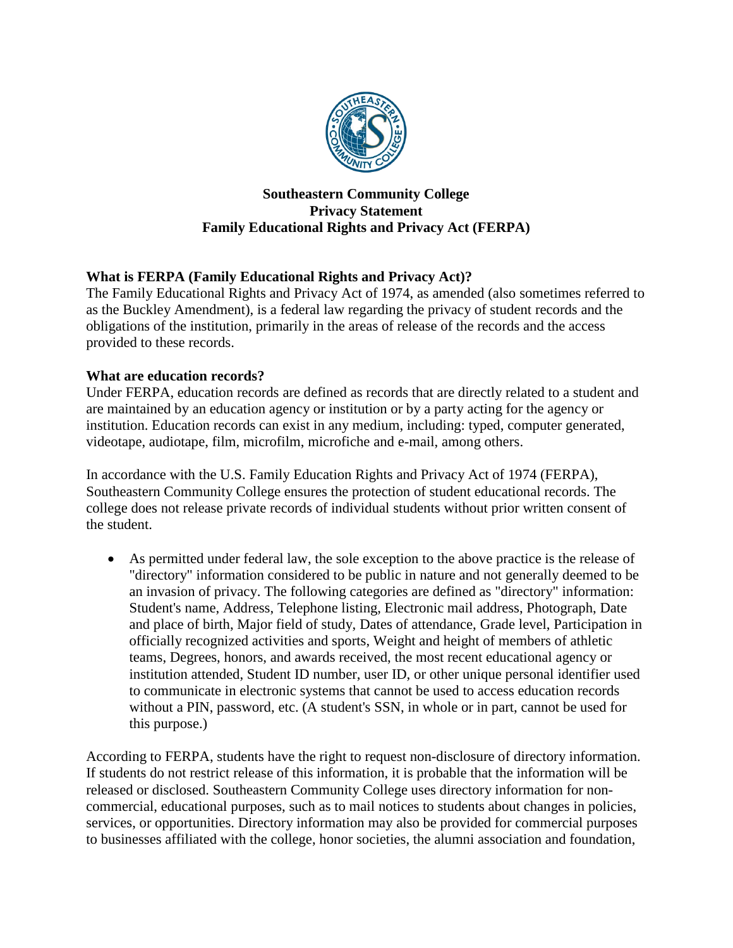

### **Southeastern Community College Privacy Statement Family Educational Rights and Privacy Act (FERPA)**

# **What is FERPA (Family Educational Rights and Privacy Act)?**

The Family Educational Rights and Privacy Act of 1974, as amended (also sometimes referred to as the Buckley Amendment), is a federal law regarding the privacy of student records and the obligations of the institution, primarily in the areas of release of the records and the access provided to these records.

## **What are education records?**

Under FERPA, education records are defined as records that are directly related to a student and are maintained by an education agency or institution or by a party acting for the agency or institution. Education records can exist in any medium, including: typed, computer generated, videotape, audiotape, film, microfilm, microfiche and e-mail, among others.

In accordance with the U.S. Family Education Rights and Privacy Act of 1974 (FERPA), Southeastern Community College ensures the protection of student educational records. The college does not release private records of individual students without prior written consent of the student.

• As permitted under federal law, the sole exception to the above practice is the release of "directory" information considered to be public in nature and not generally deemed to be an invasion of privacy. The following categories are defined as "directory" information: Student's name, Address, Telephone listing, Electronic mail address, Photograph, Date and place of birth, Major field of study, Dates of attendance, Grade level, Participation in officially recognized activities and sports, Weight and height of members of athletic teams, Degrees, honors, and awards received, the most recent educational agency or institution attended, Student ID number, user ID, or other unique personal identifier used to communicate in electronic systems that cannot be used to access education records without a PIN, password, etc. (A student's SSN, in whole or in part, cannot be used for this purpose.)

According to FERPA, students have the right to request non-disclosure of directory information. If students do not restrict release of this information, it is probable that the information will be released or disclosed. Southeastern Community College uses directory information for noncommercial, educational purposes, such as to mail notices to students about changes in policies, services, or opportunities. Directory information may also be provided for commercial purposes to businesses affiliated with the college, honor societies, the alumni association and foundation,